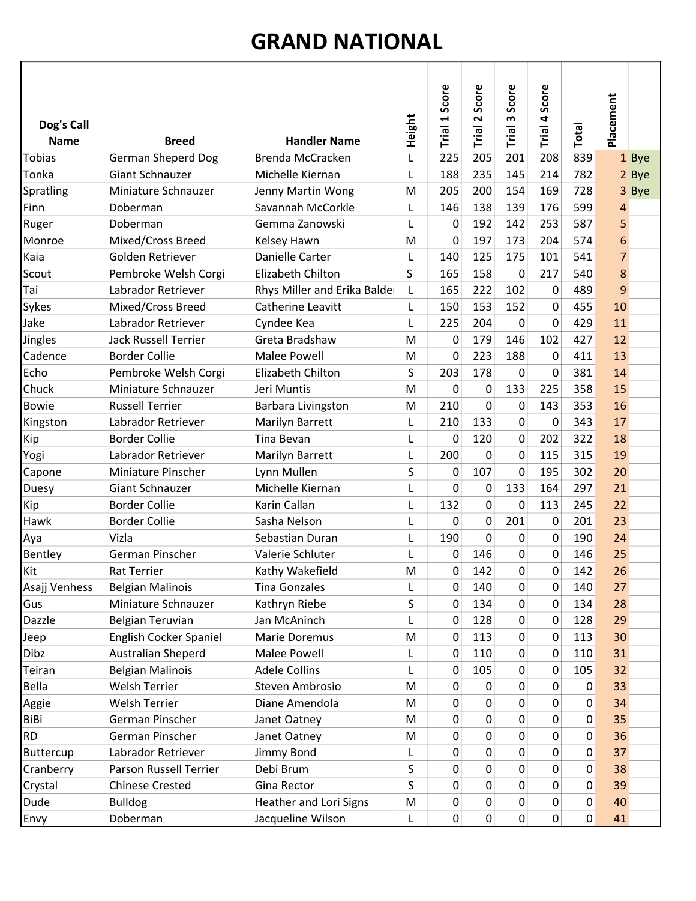## GRAND NATIONAL

| Dog's Call<br><b>Name</b> | <b>Breed</b>                | <b>Handler Name</b>         | Height | Score<br>Trial 1 | Score<br>$\sim$<br>Trial | Score<br>m<br>Trial | Trial 4 Score  | Total          | Placement      |
|---------------------------|-----------------------------|-----------------------------|--------|------------------|--------------------------|---------------------|----------------|----------------|----------------|
| <b>Tobias</b>             | <b>German Sheperd Dog</b>   | Brenda McCracken            | L      | 225              | 205                      | 201                 | 208            | 839            | 1 Bye          |
| Tonka                     | <b>Giant Schnauzer</b>      | Michelle Kiernan            | L      | 188              | 235                      | 145                 | 214            | 782            | 2 Bye          |
| Spratling                 | Miniature Schnauzer         | Jenny Martin Wong           | M      | 205              | 200                      | 154                 | 169            | 728            | 3 Bye          |
| Finn                      | Doberman                    | Savannah McCorkle           | L      | 146              | 138                      | 139                 | 176            | 599            | 4              |
| Ruger                     | Doberman                    | Gemma Zanowski              | L      | $\boldsymbol{0}$ | 192                      | 142                 | 253            | 587            | 5              |
| Monroe                    | Mixed/Cross Breed           | Kelsey Hawn                 | M      | 0                | 197                      | 173                 | 204            | 574            | 6              |
| Kaia                      | Golden Retriever            | Danielle Carter             | L      | 140              | 125                      | 175                 | 101            | 541            | $\overline{7}$ |
| Scout                     | Pembroke Welsh Corgi        | Elizabeth Chilton           | S      | 165              | 158                      | 0                   | 217            | 540            | 8              |
| Tai                       | Labrador Retriever          | Rhys Miller and Erika Balde | L      | 165              | 222                      | 102                 | 0              | 489            | 9              |
| Sykes                     | Mixed/Cross Breed           | <b>Catherine Leavitt</b>    | L      | 150              | 153                      | 152                 | $\mathbf 0$    | 455            | 10             |
| Jake                      | Labrador Retriever          | Cyndee Kea                  | L      | 225              | 204                      | $\mathbf 0$         | 0              | 429            | 11             |
| Jingles                   | <b>Jack Russell Terrier</b> | Greta Bradshaw              | M      | $\boldsymbol{0}$ | 179                      | 146                 | 102            | 427            | 12             |
| Cadence                   | <b>Border Collie</b>        | <b>Malee Powell</b>         | M      | 0                | 223                      | 188                 | 0              | 411            | 13             |
| Echo                      | Pembroke Welsh Corgi        | Elizabeth Chilton           | S      | 203              | 178                      | $\mathbf{0}$        | 0              | 381            | 14             |
| Chuck                     | Miniature Schnauzer         | Jeri Muntis                 | M      | 0                | 0                        | 133                 | 225            | 358            | 15             |
| <b>Bowie</b>              | <b>Russell Terrier</b>      | Barbara Livingston          | M      | 210              | $\mathbf 0$              | 0                   | 143            | 353            | 16             |
| Kingston                  | Labrador Retriever          | Marilyn Barrett             | L      | 210              | 133                      | 0                   | 0              | 343            | 17             |
| Kip                       | <b>Border Collie</b>        | Tina Bevan                  | L      | 0                | 120                      | 0                   | 202            | 322            | 18             |
| Yogi                      | Labrador Retriever          | Marilyn Barrett             | L      | 200              | 0                        | 0                   | 115            | 315            | 19             |
| Capone                    | Miniature Pinscher          | Lynn Mullen                 | S      | 0                | 107                      | 0                   | 195            | 302            | 20             |
| Duesy                     | <b>Giant Schnauzer</b>      | Michelle Kiernan            | L      | 0                | $\mathbf 0$              | 133                 | 164            | 297            | 21             |
| Kip                       | <b>Border Collie</b>        | Karin Callan                | L      | 132              | $\mathbf 0$              | 0                   | 113            | 245            | 22             |
| Hawk                      | <b>Border Collie</b>        | Sasha Nelson                | L      | 0                | $\mathbf 0$              | 201                 | 0              | 201            | 23             |
| Aya                       | Vizla                       | Sebastian Duran             | L      | 190              | $\mathbf 0$              | 0                   | 0              | 190            | 24             |
| Bentley                   | German Pinscher             | Valerie Schluter            | L      | 0                | 146                      | 0                   | 0              | 146            | 25             |
| Kit                       | <b>Rat Terrier</b>          | Kathy Wakefield             | M      | 0                | 142                      | $\mathbf{0}$        | $\mathbf 0$    | 142            | 26             |
| Asajj Venhess             | <b>Belgian Malinois</b>     | <b>Tina Gonzales</b>        | L      | 0                | 140                      | 0                   | 0              | 140            | 27             |
| Gus                       | Miniature Schnauzer         | Kathryn Riebe               | S      | 0                | 134                      | 0                   | 0              | 134            | 28             |
| Dazzle                    | Belgian Teruvian            | Jan McAninch                | L      | 0                | 128                      | 0                   | 0              | 128            | 29             |
| Jeep                      | English Cocker Spaniel      | Marie Doremus               | M      | $\mathbf 0$      | 113                      | 0                   | 0              | 113            | 30             |
| Dibz                      | <b>Australian Sheperd</b>   | <b>Malee Powell</b>         | L      | 0                | 110                      | 0                   | 0              | 110            | 31             |
| Teiran                    | <b>Belgian Malinois</b>     | <b>Adele Collins</b>        | L      | 0                | 105                      | 0                   | 0              | 105            | 32             |
| Bella                     | <b>Welsh Terrier</b>        | Steven Ambrosio             | M      | 0                | 0                        | 0                   | 0              | 0              | 33             |
| Aggie                     | <b>Welsh Terrier</b>        | Diane Amendola              | M      | 0                | 0                        | 0                   | 0              | 0              | 34             |
| BiBi                      | German Pinscher             | Janet Oatney                | M      | 0                | $\pmb{0}$                | 0                   | $\overline{0}$ | 0              | 35             |
| <b>RD</b>                 | German Pinscher             | Janet Oatney                | M      | 0                | $\mathbf 0$              | 0                   | 0              | 0              | 36             |
| Buttercup                 | Labrador Retriever          | Jimmy Bond                  | L      | 0                | $\pmb{0}$                | 0                   | 0              | 0              | 37             |
| Cranberry                 | Parson Russell Terrier      | Debi Brum                   | S      | 0                | $\pmb{0}$                | 0                   | 0              | 0              | 38             |
| Crystal                   | <b>Chinese Crested</b>      | Gina Rector                 | S      | 0                | $\pmb{0}$                | 0                   | 0              | 0              | 39             |
| Dude                      | <b>Bulldog</b>              | Heather and Lori Signs      | M      | 0                | $\pmb{0}$                | 0                   | 0              | 0              | 40             |
| Envy                      | Doberman                    | Jacqueline Wilson           | L      | 0                | 0                        | $\mathbf{0}$        | $\overline{0}$ | $\overline{0}$ | 41             |